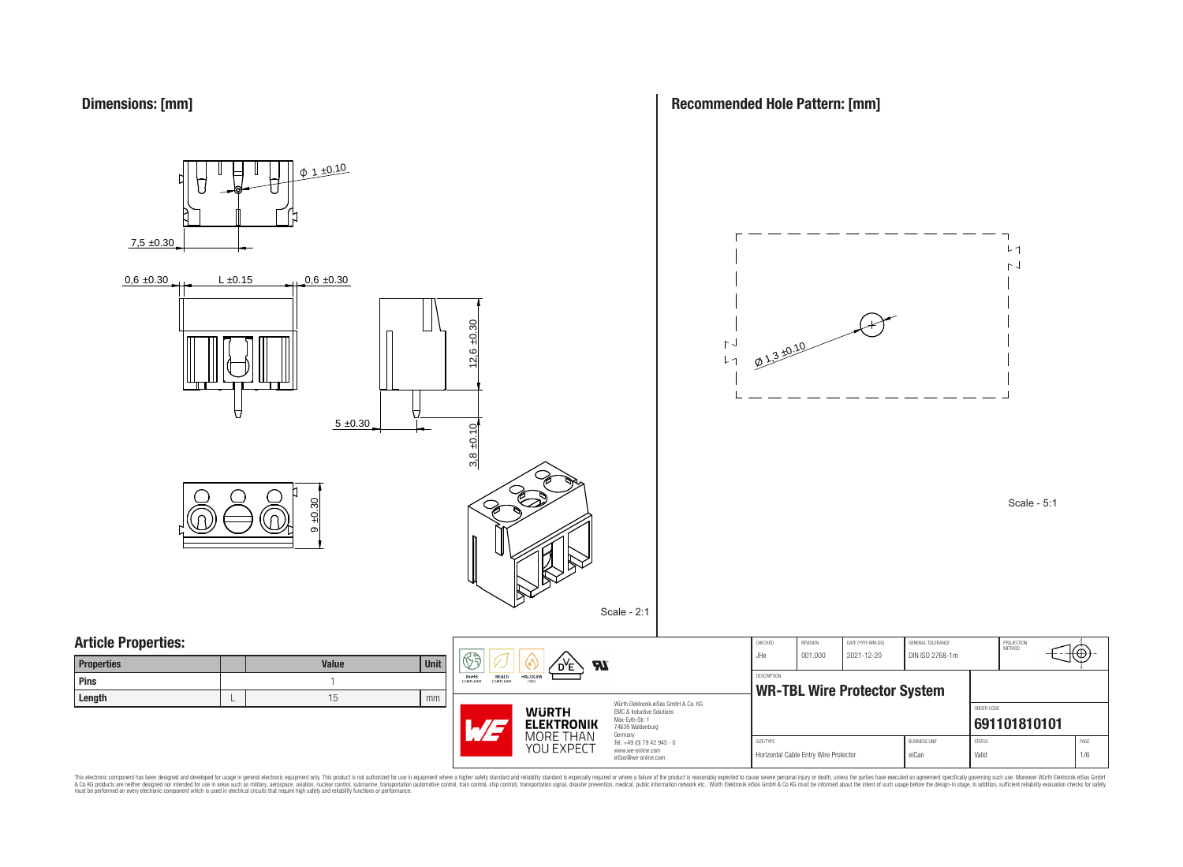**Dimensions: [mm]**



**Recommended Hole Pattern: [mm]**

This electronic component has been designed and developed for usage in general electronic equipment only. This product is not authorized for subserved requipment where a higher selection equipment where a higher selection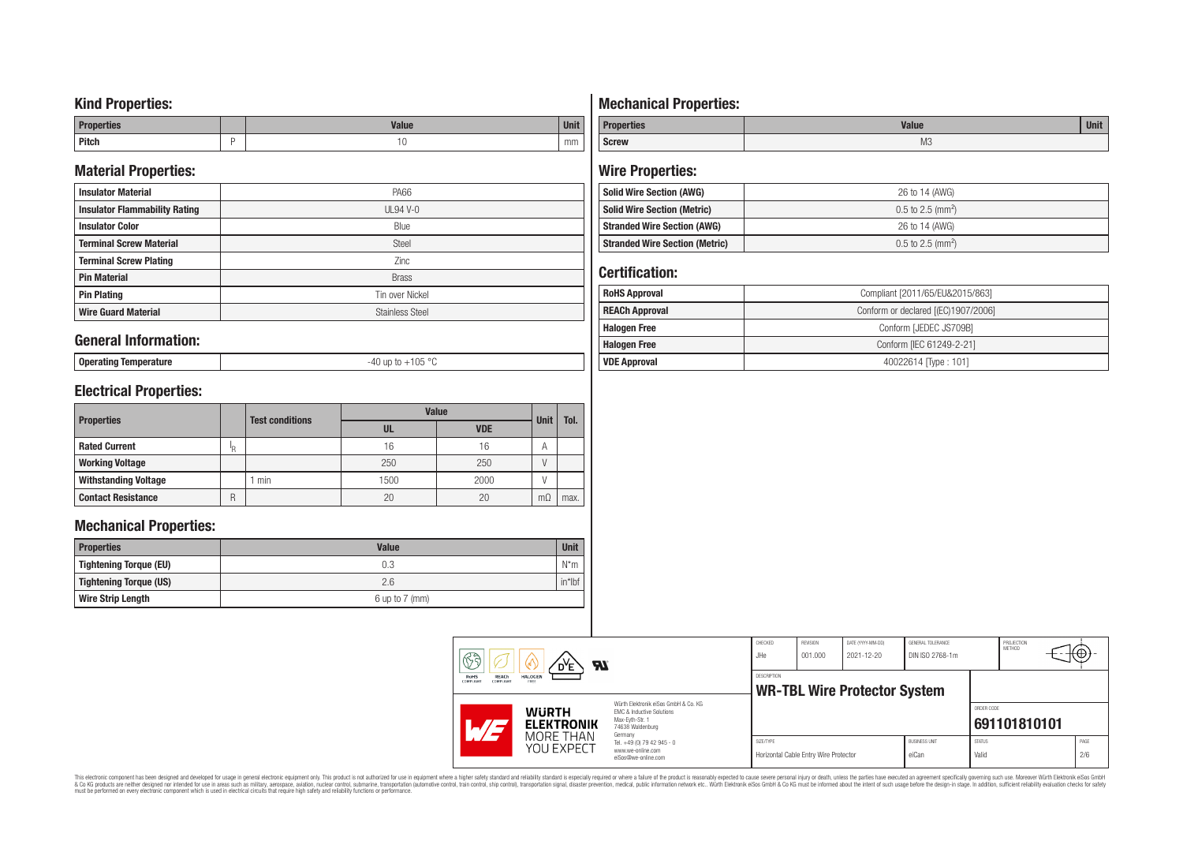## **Kind Properties:**

| <b>Properties</b> |   | <b>Moline</b><br>"dluc- | <b>Unit</b> |
|-------------------|---|-------------------------|-------------|
| <b>Pitch</b>      | - | טו                      | mm          |

## **Material Properties:**

| <b>Insulator Material</b>            | <b>PA66</b>            |
|--------------------------------------|------------------------|
| <b>Insulator Flammability Rating</b> | $UL94V-0$              |
| <b>Insulator Color</b>               | Blue                   |
| <b>Terminal Screw Material</b>       | <b>Steel</b>           |
| <b>Terminal Screw Plating</b>        | Zinc                   |
| <b>Pin Material</b>                  | <b>Brass</b>           |
| <b>Pin Plating</b>                   | Tin over Nickel        |
| <b>Wire Guard Material</b>           | <b>Stainless Steel</b> |

### **General Information:**

**Operating Temperature** -40 up to +105 °C

# **Electrical Properties:**

| <b>Properties</b>           |     | <b>Test conditions</b> | <b>Value</b> | <b>Unit</b> | Tol.      |      |
|-----------------------------|-----|------------------------|--------------|-------------|-----------|------|
|                             |     |                        | UL           | <b>VDE</b>  |           |      |
| <b>Rated Current</b>        | ΙŖ. |                        | 16           | 16          | A         |      |
| <b>Working Voltage</b>      |     |                        | 250          | 250         |           |      |
| <b>Withstanding Voltage</b> |     | min                    | 1500         | 2000        |           |      |
| <b>Contact Resistance</b>   | R   |                        | 20           | 20          | $m\Omega$ | max. |

## **Mechanical Properties:**

| <b>Properties</b>        | <b>Value</b>       | <b>Unit</b> |
|--------------------------|--------------------|-------------|
| Tightening Torque (EU)   | 0.3                | $N^*m$      |
| Tightening Torque (US)   | 2.6                | $in*$ Ibf   |
| <b>Wire Strip Length</b> | $6$ up to $7$ (mm) |             |

# **Mechanical Properties:**

| <b>Properties</b> | <b>Value</b>   | <b>Unit</b> |
|-------------------|----------------|-------------|
| <b>Screw</b>      | M <sub>3</sub> |             |

# **Wire Properties:**

| Solid Wire Section (AWG)              | 26 to 14 (AWG)                  |
|---------------------------------------|---------------------------------|
| <b>Solid Wire Section (Metric)</b>    | $0.5$ to 2.5 (mm <sup>2</sup> ) |
| <b>Stranded Wire Section (AWG)</b>    | 26 to 14 (AWG)                  |
| <b>Stranded Wire Section (Metric)</b> | $0.5$ to 2.5 (mm <sup>2</sup> ) |

# **Certification:**

| <b>RoHS Approval</b>  | Compliant [2011/65/EU&2015/863]     |
|-----------------------|-------------------------------------|
| <b>REACh Approval</b> | Conform or declared [(EC)1907/2006] |
| <b>Halogen Free</b>   | Conform [JEDEC JS709B]              |
| <b>Halogen Free</b>   | Conform [IEC 61249-2-21]            |
| <b>VDE Approval</b>   | 40022614 Type: 101]                 |

| H<br><b>Al</b>           |                                                                                                                                                                                  | CHECKED<br>JHe                                                                                        | <b>REVISION</b><br>001.000                                | DATE (YYYY-MM-DD)<br>2021-12-20       | GENERAL TOLERANCE<br>DIN ISO 2768-1m |                               | PROJECTION<br>METHOD   | ΨΦ.                        |             |
|--------------------------|----------------------------------------------------------------------------------------------------------------------------------------------------------------------------------|-------------------------------------------------------------------------------------------------------|-----------------------------------------------------------|---------------------------------------|--------------------------------------|-------------------------------|------------------------|----------------------------|-------------|
| RoHS<br><b>COMPLIANT</b> | <b>REACh</b><br><b>HALOGEN</b><br>COMPLIANT<br>FREE<br>Würth Elektronik eiSos GmbH & Co. KG<br><b>WURTH</b><br>EMC & Inductive Solutions<br>Max-Evth-Str. 1<br><b>ELEKTRONIK</b> |                                                                                                       | <b>DESCRIPTION</b><br><b>WR-TBL Wire Protector System</b> |                                       |                                      |                               |                        | ORDER CODE<br>691101810101 |             |
|                          | MORE THAN<br>YOU EXPECT                                                                                                                                                          | 74638 Waldenburg<br>Germany<br>Tel. +49 (0) 79 42 945 - 0<br>www.we-online.com<br>eiSos@we-online.com | SIZE/TYPE                                                 | Horizontal Cable Entry Wire Protector |                                      | <b>BUSINESS UNIT</b><br>eiCan | <b>STATUS</b><br>Valid |                            | PAGE<br>2/6 |

This electronic component has been designed and developed for usage in general electronic equipment only. This product is not authorized for subserved requipment where a higher selection equipment where a higher selection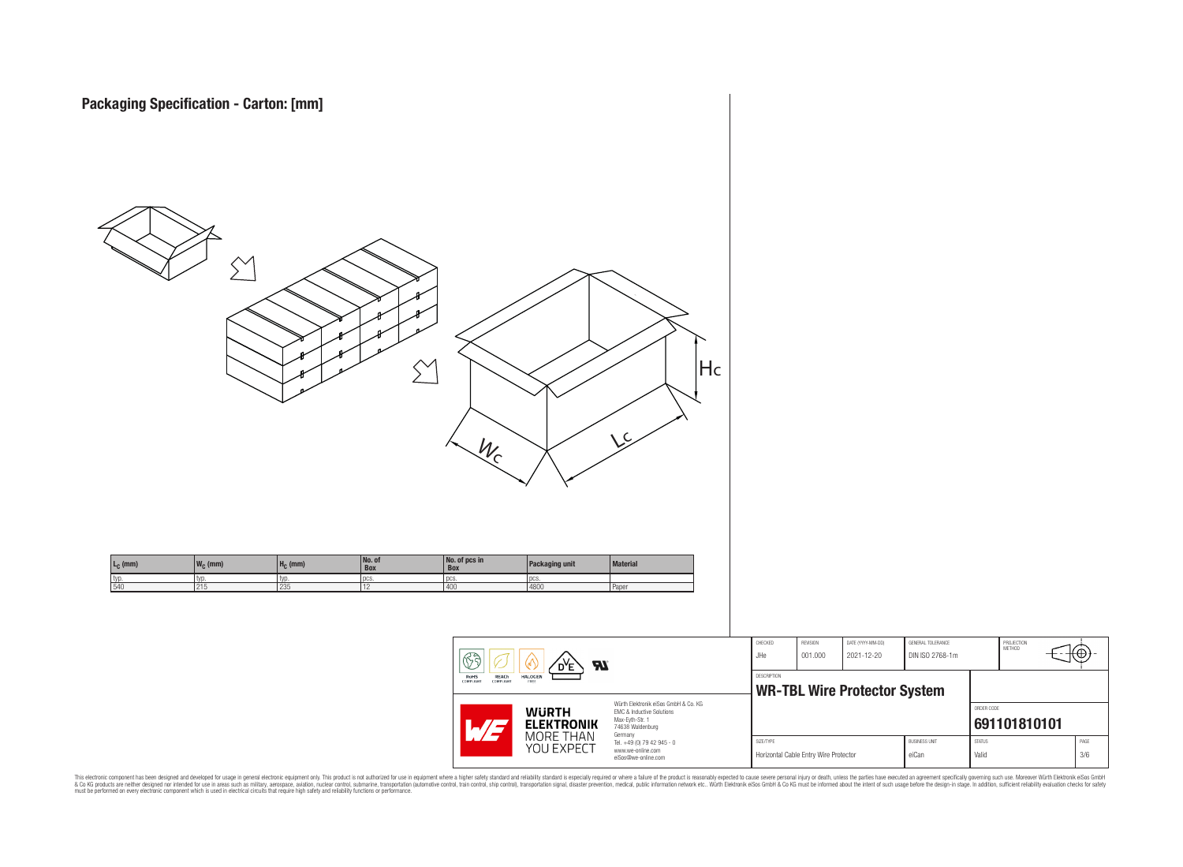

This electronic component has been designed and developed for usage in general electronic equipment only. This product is not authorized for subserved requipment where a higher selection equipment where a higher selection

PROJECTION<br>METHOD

ю

**[691101810101](https://www.we-online.com/catalog/en/article/691101810101)**

ORDER CODE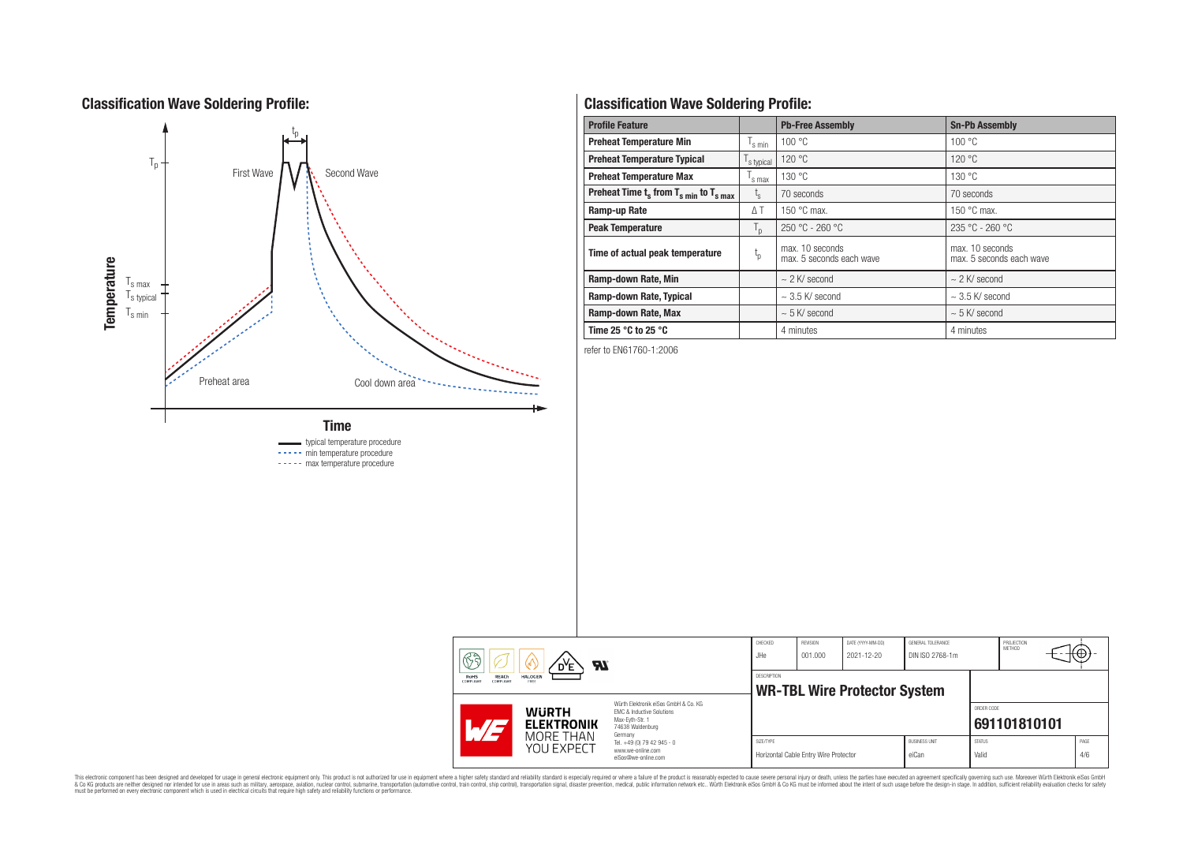# **Classification Wave Soldering Profile:**



----- min temperature procedure ----- max temperature procedure

# **Classification Wave Soldering Profile:**

| <b>Profile Feature</b>                                               |                  | <b>Pb-Free Assembly</b>                     | <b>Sn-Pb Assembly</b>                       |
|----------------------------------------------------------------------|------------------|---------------------------------------------|---------------------------------------------|
| <b>Preheat Temperature Min</b>                                       | s min            | 100 °C                                      | 100 °C                                      |
| <b>Preheat Temperature Typical</b>                                   | s typical        | 120 °C                                      | 120 °C                                      |
| <b>Preheat Temperature Max</b>                                       | s max            | 130 °C                                      | 130 °C                                      |
| Preheat Time $t_s$ from $T_s$ <sub>min</sub> to $T_s$ <sub>max</sub> | $t_{\rm s}$      | 70 seconds                                  | 70 seconds                                  |
| Ramp-up Rate                                                         | ΔΤ               | 150 $\degree$ C max.                        | 150 $\degree$ C max.                        |
| <b>Peak Temperature</b>                                              | $T_{\mathsf{D}}$ | $250 °C - 260 °C$                           | $235 °C - 260 °C$                           |
| Time of actual peak temperature                                      | $t_{p}$          | max. 10 seconds<br>max. 5 seconds each wave | max. 10 seconds<br>max. 5 seconds each wave |
| Ramp-down Rate, Min                                                  |                  | $\sim$ 2 K/ second                          | $\sim$ 2 K/ second                          |
| Ramp-down Rate, Typical                                              |                  | $\sim$ 3.5 K/ second                        | $\sim$ 3.5 K/ second                        |
| Ramp-down Rate, Max                                                  |                  | $\sim$ 5 K/ second                          | $\sim$ 5 K/ second                          |
| Time 25 $^{\circ}$ C to 25 $^{\circ}$ C                              |                  | 4 minutes                                   | 4 minutes                                   |

refer to EN61760-1:2006

|  | ୡ<br>Яï<br>D <sup>Y</sup> E<br><b>REACh</b><br><b>HALOGEN</b><br><b>RoHS</b><br>FREE<br><b>COMPLIANT</b><br>COMPLIANT<br>Würth Elektronik eiSos GmbH & Co. KG<br><b>WURTH</b><br>EMC & Inductive Solutions<br>Max-Evth-Str. 1<br><b>ELEKTRONIK</b><br>$\mathcal{A}/\mathcal{A}$<br>74638 Waldenburg |                                                                                   | CHECKED<br>JHe                                            | REVISION<br>001.000                                | DATE (YYYY-MM-DD)<br>2021-12-20 | GENERAL TOLERANCE<br>DIN ISO 2768-1m |                        | PROJECTION<br>METHOD | tΨ           |
|--|-----------------------------------------------------------------------------------------------------------------------------------------------------------------------------------------------------------------------------------------------------------------------------------------------------|-----------------------------------------------------------------------------------|-----------------------------------------------------------|----------------------------------------------------|---------------------------------|--------------------------------------|------------------------|----------------------|--------------|
|  |                                                                                                                                                                                                                                                                                                     |                                                                                   | <b>DESCRIPTION</b><br><b>WR-TBL Wire Protector System</b> |                                                    |                                 |                                      |                        |                      |              |
|  |                                                                                                                                                                                                                                                                                                     |                                                                                   |                                                           |                                                    |                                 |                                      |                        | ORDER CODE           | 691101810101 |
|  | <b>MORE THAN</b><br>YOU EXPECT                                                                                                                                                                                                                                                                      | Germany<br>Tel. +49 (0) 79 42 945 - 0<br>www.we-online.com<br>eiSos@we-online.com |                                                           | SIZE/TYPE<br>Horizontal Cable Entry Wire Protector |                                 | <b>BUSINESS UNIT</b><br>eiCan        | <b>STATUS</b><br>Valid |                      | PAGE<br>4/6  |

This electronic component has been designed and developed for usage in general electronic equipment only. This product is not authorized for subserved requipment where a higher selection equipment where a higher selection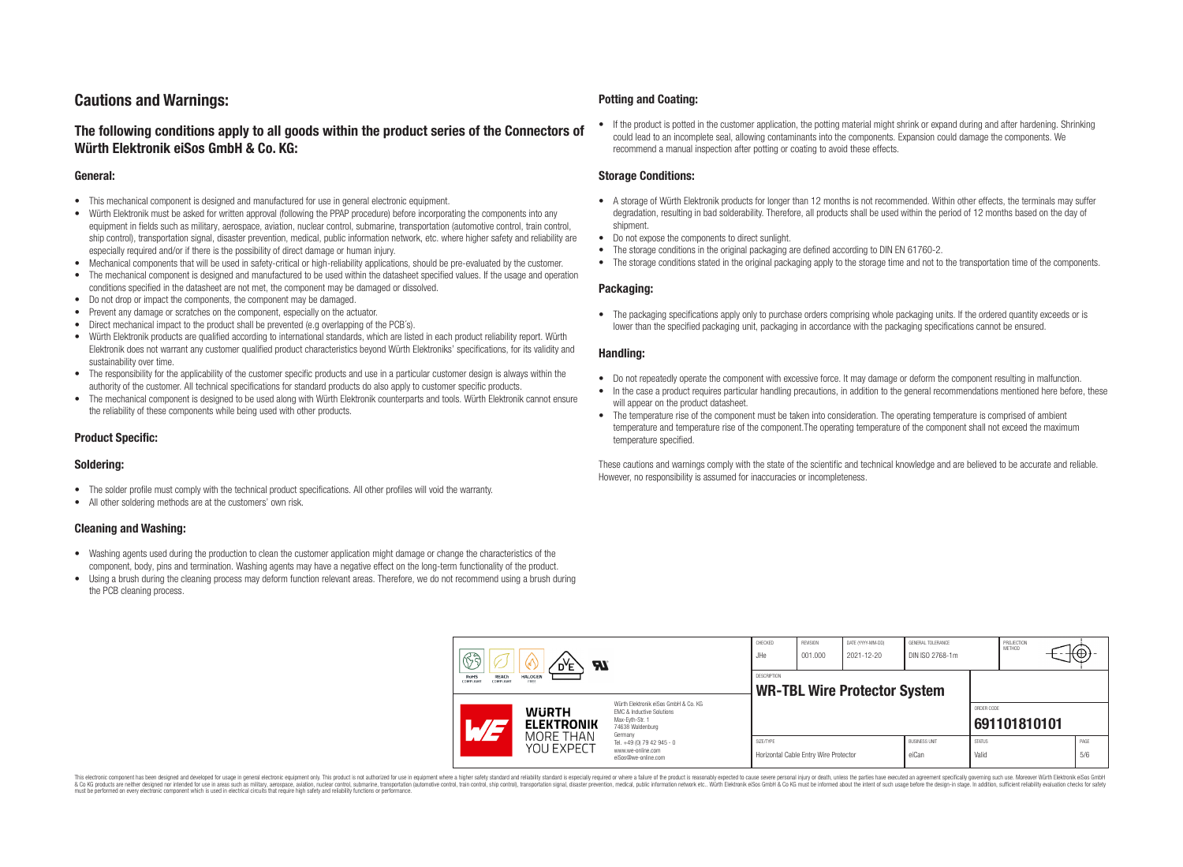# **Cautions and Warnings:**

## **The following conditions apply to all goods within the product series of the Connectors of Würth Elektronik eiSos GmbH & Co. KG:**

#### **General:**

- This mechanical component is designed and manufactured for use in general electronic equipment.
- Würth Elektronik must be asked for written approval (following the PPAP procedure) before incorporating the components into any equipment in fields such as military, aerospace, aviation, nuclear control, submarine, transportation (automotive control, train control, ship control), transportation signal, disaster prevention, medical, public information network, etc. where higher safety and reliability are especially required and/or if there is the possibility of direct damage or human injury.
- Mechanical components that will be used in safety-critical or high-reliability applications, should be pre-evaluated by the customer.
- The mechanical component is designed and manufactured to be used within the datasheet specified values. If the usage and operation conditions specified in the datasheet are not met, the component may be damaged or dissolved.
- Do not drop or impact the components, the component may be damaged.
- Prevent any damage or scratches on the component, especially on the actuator.
- Direct mechanical impact to the product shall be prevented (e.g overlapping of the PCB's).
- Würth Elektronik products are qualified according to international standards, which are listed in each product reliability report. Würth Elektronik does not warrant any customer qualified product characteristics beyond Würth Elektroniks' specifications, for its validity and sustainability over time.
- The responsibility for the applicability of the customer specific products and use in a particular customer design is always within the authority of the customer. All technical specifications for standard products do also apply to customer specific products.
- The mechanical component is designed to be used along with Würth Elektronik counterparts and tools. Würth Elektronik cannot ensure the reliability of these components while being used with other products.

### **Product Specific:**

#### **Soldering:**

- The solder profile must comply with the technical product specifications. All other profiles will void the warranty.
- All other soldering methods are at the customers' own risk.

#### **Cleaning and Washing:**

- Washing agents used during the production to clean the customer application might damage or change the characteristics of the component, body, pins and termination. Washing agents may have a negative effect on the long-term functionality of the product.
- Using a brush during the cleaning process may deform function relevant areas. Therefore, we do not recommend using a brush during the PCB cleaning process.

#### **Potting and Coating:**

• If the product is potted in the customer application, the potting material might shrink or expand during and after hardening. Shrinking could lead to an incomplete seal, allowing contaminants into the components. Expansion could damage the components. We recommend a manual inspection after potting or coating to avoid these effects.

#### **Storage Conditions:**

- A storage of Würth Elektronik products for longer than 12 months is not recommended. Within other effects, the terminals may suffer degradation, resulting in bad solderability. Therefore, all products shall be used within the period of 12 months based on the day of shipment.
- Do not expose the components to direct sunlight.
- The storage conditions in the original packaging are defined according to DIN EN 61760-2.
- The storage conditions stated in the original packaging apply to the storage time and not to the transportation time of the components.

#### **Packaging:**

• The packaging specifications apply only to purchase orders comprising whole packaging units. If the ordered quantity exceeds or is lower than the specified packaging unit, packaging in accordance with the packaging specifications cannot be ensured.

#### **Handling:**

- Do not repeatedly operate the component with excessive force. It may damage or deform the component resulting in malfunction.
- In the case a product requires particular handling precautions, in addition to the general recommendations mentioned here before, these will appear on the product datasheet
- The temperature rise of the component must be taken into consideration. The operating temperature is comprised of ambient temperature and temperature rise of the component.The operating temperature of the component shall not exceed the maximum temperature specified.

These cautions and warnings comply with the state of the scientific and technical knowledge and are believed to be accurate and reliable. However, no responsibility is assumed for inaccuracies or incompleteness.

| B<br><b>Al</b><br>RoHS<br><b>HALOGEN</b><br><b>REACh</b><br>COMPLIANT<br>COMPLIANT<br>FREE<br>Würth Elektronik eiSos GmbH & Co. KG<br><b>WURTH</b><br><b>EMC &amp; Inductive Solutions</b><br>Max-Eyth-Str. 1<br><b>ELEKTRONIK</b><br>74638 Waldenburg |                         | CHECKED<br>JHe                                                         | <b>REVISION</b><br>001.000 | DATE (YYYY-MM-DD)<br>2021-12-20       | GENERAL TOLERANCE<br>DIN ISO 2768-1m |                               | PROJECTION<br>METHOD   | (⊕           |             |  |
|--------------------------------------------------------------------------------------------------------------------------------------------------------------------------------------------------------------------------------------------------------|-------------------------|------------------------------------------------------------------------|----------------------------|---------------------------------------|--------------------------------------|-------------------------------|------------------------|--------------|-------------|--|
|                                                                                                                                                                                                                                                        |                         | <b>DESCRIPTION</b><br><b>WR-TBL Wire Protector System</b>              |                            |                                       |                                      |                               |                        |              |             |  |
|                                                                                                                                                                                                                                                        |                         | Germany                                                                |                            |                                       |                                      |                               | ORDER CODE             | 691101810101 |             |  |
|                                                                                                                                                                                                                                                        | MORE THAN<br>YOU EXPECT | Tel. +49 (0) 79 42 945 - 0<br>www.we-online.com<br>eiSos@we-online.com | SIZE/TYPE                  | Horizontal Cable Entry Wire Protector |                                      | <b>BUSINESS UNIT</b><br>eiCan | <b>STATUS</b><br>Valid |              | PAGE<br>5/6 |  |

This electronic component has been designed and developed for usage in general electronic equipment only. This product is not authorized for use in equipment where a higher safety standard and reliability standard si espec & Ook product a label and the membed of the seasuch as marked and as which such a membed and the such assume that income in the seasuch and the simulation and the such assume that include to the such a membed and the such